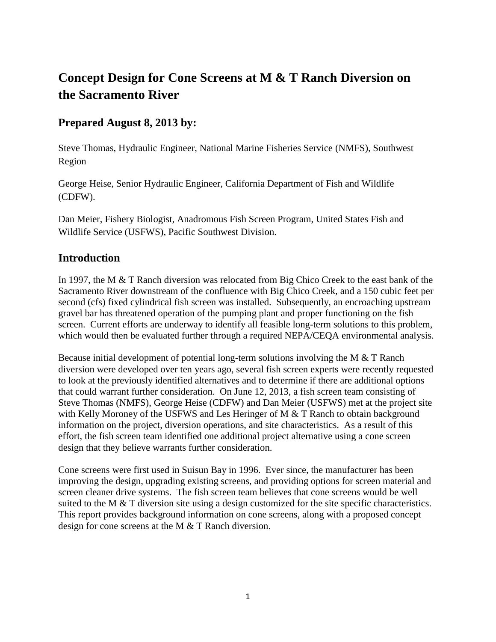# **Concept Design for Cone Screens at M & T Ranch Diversion on the Sacramento River**

# **Prepared August 8, 2013 by:**

Steve Thomas, Hydraulic Engineer, National Marine Fisheries Service (NMFS), Southwest Region

George Heise, Senior Hydraulic Engineer, California Department of Fish and Wildlife (CDFW).

Dan Meier, Fishery Biologist, Anadromous Fish Screen Program, United States Fish and Wildlife Service (USFWS), Pacific Southwest Division.

## **Introduction**

In 1997, the M & T Ranch diversion was relocated from Big Chico Creek to the east bank of the Sacramento River downstream of the confluence with Big Chico Creek, and a 150 cubic feet per second (cfs) fixed cylindrical fish screen was installed. Subsequently, an encroaching upstream gravel bar has threatened operation of the pumping plant and proper functioning on the fish screen. Current efforts are underway to identify all feasible long-term solutions to this problem, which would then be evaluated further through a required NEPA/CEOA environmental analysis.

Because initial development of potential long-term solutions involving the M & T Ranch diversion were developed over ten years ago, several fish screen experts were recently requested to look at the previously identified alternatives and to determine if there are additional options that could warrant further consideration. On June 12, 2013, a fish screen team consisting of Steve Thomas (NMFS), George Heise (CDFW) and Dan Meier (USFWS) met at the project site with Kelly Moroney of the USFWS and Les Heringer of M & T Ranch to obtain background information on the project, diversion operations, and site characteristics. As a result of this effort, the fish screen team identified one additional project alternative using a cone screen design that they believe warrants further consideration.

Cone screens were first used in Suisun Bay in 1996. Ever since, the manufacturer has been improving the design, upgrading existing screens, and providing options for screen material and screen cleaner drive systems. The fish screen team believes that cone screens would be well suited to the M & T diversion site using a design customized for the site specific characteristics. This report provides background information on cone screens, along with a proposed concept design for cone screens at the M & T Ranch diversion.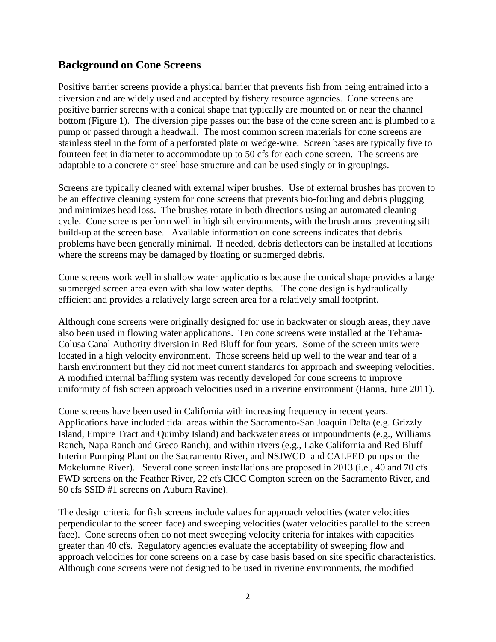#### **Background on Cone Screens**

Positive barrier screens provide a physical barrier that prevents fish from being entrained into a diversion and are widely used and accepted by fishery resource agencies. Cone screens are positive barrier screens with a conical shape that typically are mounted on or near the channel bottom (Figure 1). The diversion pipe passes out the base of the cone screen and is plumbed to a pump or passed through a headwall. The most common screen materials for cone screens are stainless steel in the form of a perforated plate or wedge-wire. Screen bases are typically five to fourteen feet in diameter to accommodate up to 50 cfs for each cone screen. The screens are adaptable to a concrete or steel base structure and can be used singly or in groupings.

Screens are typically cleaned with external wiper brushes. Use of external brushes has proven to be an effective cleaning system for cone screens that prevents bio-fouling and debris plugging and minimizes head loss. The brushes rotate in both directions using an automated cleaning cycle. Cone screens perform well in high silt environments, with the brush arms preventing silt build-up at the screen base. Available information on cone screens indicates that debris problems have been generally minimal. If needed, debris deflectors can be installed at locations where the screens may be damaged by floating or submerged debris.

Cone screens work well in shallow water applications because the conical shape provides a large submerged screen area even with shallow water depths. The cone design is hydraulically efficient and provides a relatively large screen area for a relatively small footprint.

Although cone screens were originally designed for use in backwater or slough areas, they have also been used in flowing water applications. Ten cone screens were installed at the Tehama-Colusa Canal Authority diversion in Red Bluff for four years. Some of the screen units were located in a high velocity environment. Those screens held up well to the wear and tear of a harsh environment but they did not meet current standards for approach and sweeping velocities. A modified internal baffling system was recently developed for cone screens to improve uniformity of fish screen approach velocities used in a riverine environment (Hanna, June 2011).

Cone screens have been used in California with increasing frequency in recent years. Applications have included tidal areas within the Sacramento-San Joaquin Delta (e.g. Grizzly Island, Empire Tract and Quimby Island) and backwater areas or impoundments (e.g., Williams Ranch, Napa Ranch and Greco Ranch), and within rivers (e.g., Lake California and Red Bluff Interim Pumping Plant on the Sacramento River, and NSJWCD and CALFED pumps on the Mokelumne River). Several cone screen installations are proposed in 2013 (i.e., 40 and 70 cfs FWD screens on the Feather River, 22 cfs CICC Compton screen on the Sacramento River, and 80 cfs SSID #1 screens on Auburn Ravine).

The design criteria for fish screens include values for approach velocities (water velocities perpendicular to the screen face) and sweeping velocities (water velocities parallel to the screen face). Cone screens often do not meet sweeping velocity criteria for intakes with capacities greater than 40 cfs. Regulatory agencies evaluate the acceptability of sweeping flow and approach velocities for cone screens on a case by case basis based on site specific characteristics. Although cone screens were not designed to be used in riverine environments, the modified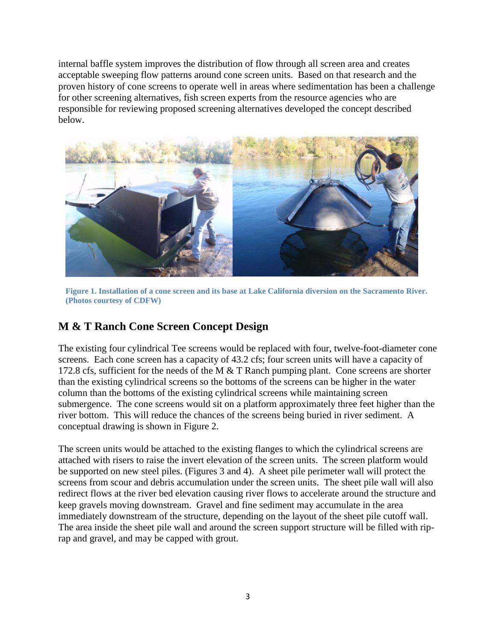internal baffle system improves the distribution of flow through all screen area and creates acceptable sweeping flow patterns around cone screen units. Based on that research and the proven history of cone screens to operate well in areas where sedimentation has been a challenge for other screening alternatives, fish screen experts from the resource agencies who are responsible for reviewing proposed screening alternatives developed the concept described below.



**Figure 1. Installation of a cone screen and its base at Lake California diversion on the Sacramento River. (Photos courtesy of CDFW)**

# **M & T Ranch Cone Screen Concept Design**

The existing four cylindrical Tee screens would be replaced with four, twelve-foot-diameter cone screens. Each cone screen has a capacity of 43.2 cfs; four screen units will have a capacity of 172.8 cfs, sufficient for the needs of the M & T Ranch pumping plant. Cone screens are shorter than the existing cylindrical screens so the bottoms of the screens can be higher in the water column than the bottoms of the existing cylindrical screens while maintaining screen submergence. The cone screens would sit on a platform approximately three feet higher than the river bottom. This will reduce the chances of the screens being buried in river sediment. A conceptual drawing is shown in Figure 2.

The screen units would be attached to the existing flanges to which the cylindrical screens are attached with risers to raise the invert elevation of the screen units. The screen platform would be supported on new steel piles. (Figures 3 and 4). A sheet pile perimeter wall will protect the screens from scour and debris accumulation under the screen units. The sheet pile wall will also redirect flows at the river bed elevation causing river flows to accelerate around the structure and keep gravels moving downstream. Gravel and fine sediment may accumulate in the area immediately downstream of the structure, depending on the layout of the sheet pile cutoff wall. The area inside the sheet pile wall and around the screen support structure will be filled with riprap and gravel, and may be capped with grout.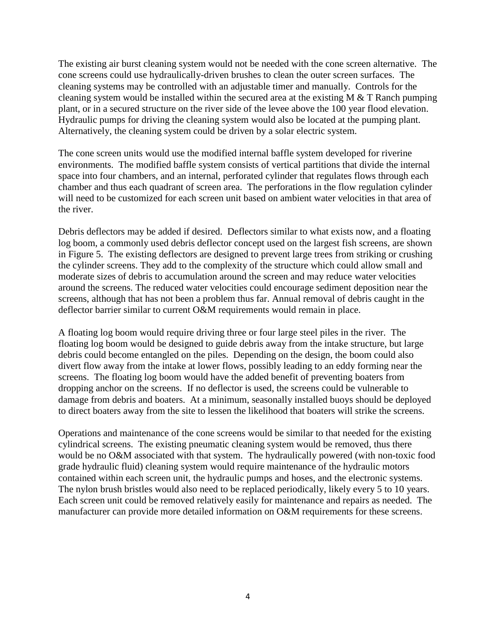The existing air burst cleaning system would not be needed with the cone screen alternative. The cone screens could use hydraulically-driven brushes to clean the outer screen surfaces. The cleaning systems may be controlled with an adjustable timer and manually. Controls for the cleaning system would be installed within the secured area at the existing M & T Ranch pumping plant, or in a secured structure on the river side of the levee above the 100 year flood elevation. Hydraulic pumps for driving the cleaning system would also be located at the pumping plant. Alternatively, the cleaning system could be driven by a solar electric system.

The cone screen units would use the modified internal baffle system developed for riverine environments. The modified baffle system consists of vertical partitions that divide the internal space into four chambers, and an internal, perforated cylinder that regulates flows through each chamber and thus each quadrant of screen area. The perforations in the flow regulation cylinder will need to be customized for each screen unit based on ambient water velocities in that area of the river.

Debris deflectors may be added if desired. Deflectors similar to what exists now, and a floating log boom, a commonly used debris deflector concept used on the largest fish screens, are shown in Figure 5. The existing deflectors are designed to prevent large trees from striking or crushing the cylinder screens. They add to the complexity of the structure which could allow small and moderate sizes of debris to accumulation around the screen and may reduce water velocities around the screens. The reduced water velocities could encourage sediment deposition near the screens, although that has not been a problem thus far. Annual removal of debris caught in the deflector barrier similar to current O&M requirements would remain in place.

A floating log boom would require driving three or four large steel piles in the river. The floating log boom would be designed to guide debris away from the intake structure, but large debris could become entangled on the piles. Depending on the design, the boom could also divert flow away from the intake at lower flows, possibly leading to an eddy forming near the screens. The floating log boom would have the added benefit of preventing boaters from dropping anchor on the screens. If no deflector is used, the screens could be vulnerable to damage from debris and boaters. At a minimum, seasonally installed buoys should be deployed to direct boaters away from the site to lessen the likelihood that boaters will strike the screens.

Operations and maintenance of the cone screens would be similar to that needed for the existing cylindrical screens. The existing pneumatic cleaning system would be removed, thus there would be no O&M associated with that system. The hydraulically powered (with non-toxic food grade hydraulic fluid) cleaning system would require maintenance of the hydraulic motors contained within each screen unit, the hydraulic pumps and hoses, and the electronic systems. The nylon brush bristles would also need to be replaced periodically, likely every 5 to 10 years. Each screen unit could be removed relatively easily for maintenance and repairs as needed. The manufacturer can provide more detailed information on O&M requirements for these screens.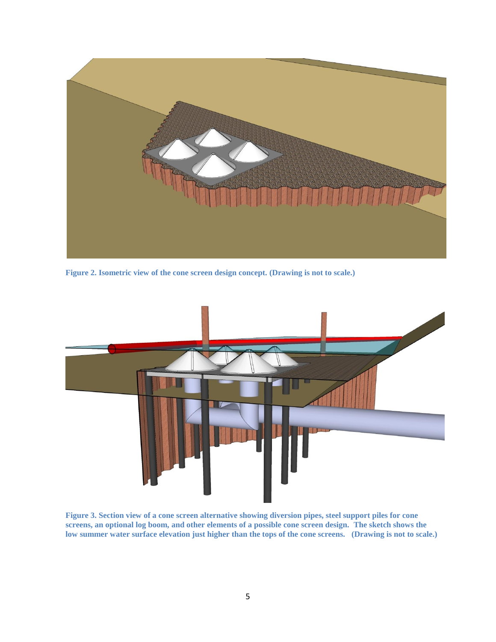

**Figure 2. Isometric view of the cone screen design concept. (Drawing is not to scale.)**



**Figure 3. Section view of a cone screen alternative showing diversion pipes, steel support piles for cone screens, an optional log boom, and other elements of a possible cone screen design. The sketch shows the low summer water surface elevation just higher than the tops of the cone screens. (Drawing is not to scale.)**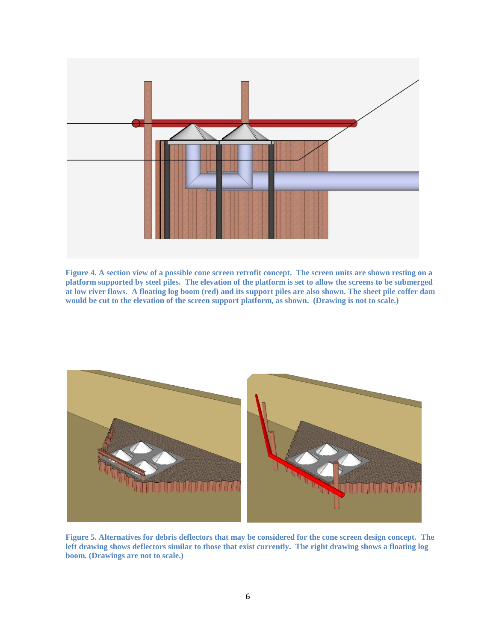

**Figure 4. A section view of a possible cone screen retrofit concept. The screen units are shown resting on a platform supported by steel piles. The elevation of the platform is set to allow the screens to be submerged at low river flows. A floating log boom (red) and its support piles are also shown. The sheet pile coffer dam would be cut to the elevation of the screen support platform, as shown. (Drawing is not to scale.)**



**Figure 5. Alternatives for debris deflectors that may be considered for the cone screen design concept. The left drawing shows deflectors similar to those that exist currently. The right drawing shows a floating log boom. (Drawings are not to scale.)**